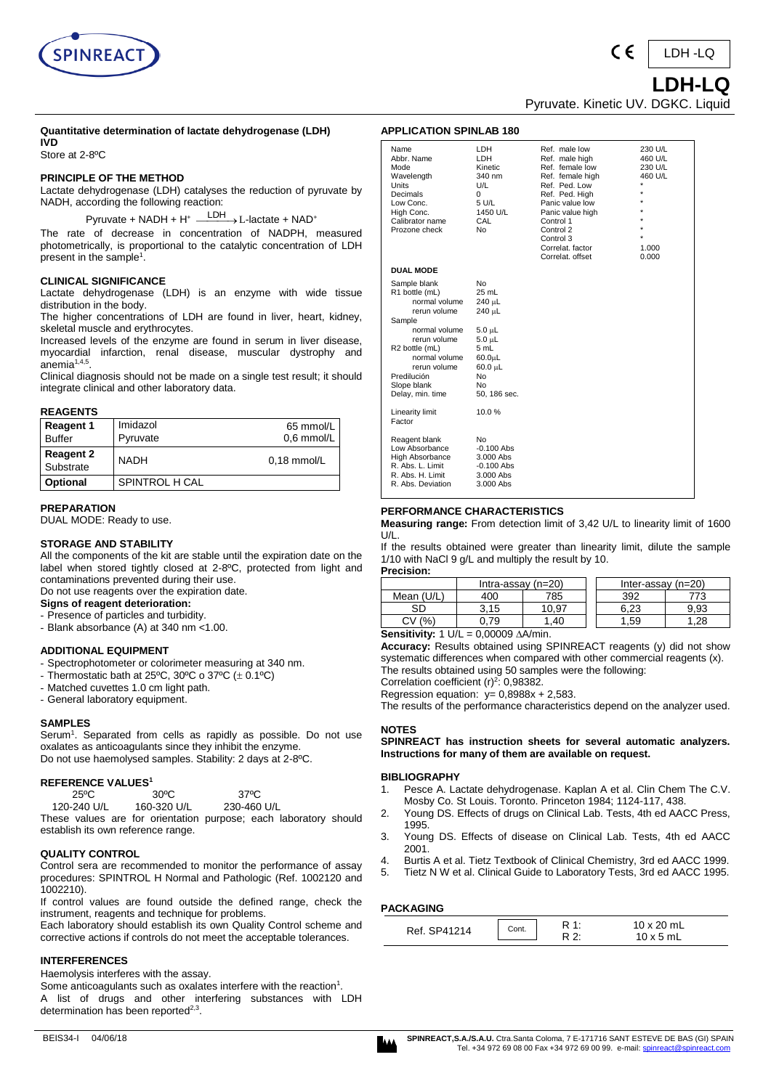



#### **Quantitative determination of lactate dehydrogenase (LDH) IVD**

Store at 2-8ºC

## **PRINCIPLE OF THE METHOD**

Lactate dehydrogenase (LDH) catalyses the reduction of pyruvate by NADH, according the following reaction:

Pyruvate + NADH + H<sup>+</sup>  $\xrightarrow{\text{LDH}}$  L-lactate + NAD<sup>+</sup>

The rate of decrease in concentration of NADPH, measured photometrically, is proportional to the catalytic concentration of LDH present in the sample $^{\text{\tiny{\text{1}}}}$ .

# **CLINICAL SIGNIFICANCE**

Lactate dehydrogenase (LDH) is an enzyme with wide tissue distribution in the body.

The higher concentrations of LDH are found in liver, heart, kidney, skeletal muscle and erythrocytes.

Increased levels of the enzyme are found in serum in liver disease, myocardial infarction, renal disease, muscular dystrophy and anemia $1,4,5$ .

Clinical diagnosis should not be made on a single test result; it should integrate clinical and other laboratory data.

#### **REAGENTS**

| <b>Reagent 1</b><br><b>Buffer</b> | Imidazol<br>Pyruvate | 65 mmol/L<br>0.6 mmol/L |
|-----------------------------------|----------------------|-------------------------|
| <b>Reagent 2</b><br>Substrate     | <b>NADH</b>          | $0.18$ mmol/L           |
| Optional                          | SPINTROL H CAL       |                         |

**PREPARATION** 

DUAL MODE: Ready to use.

### **STORAGE AND STABILITY**

All the components of the kit are stable until the expiration date on the label when stored tightly closed at 2-8ºC, protected from light and contaminations prevented during their use.

#### Do not use reagents over the expiration date. **Signs of reagent deterioration:**

- Presence of particles and turbidity.

- Blank absorbance (A) at 340 nm <1.00.

## **ADDITIONAL EQUIPMENT**

- Spectrophotometer or colorimeter measuring at 340 nm.
- Thermostatic bath at 25 $\degree$ C, 30 $\degree$ C o 37 $\degree$ C ( $\pm$  0.1 $\degree$ C)
- Matched cuvettes 1.0 cm light path.
- General laboratory equipment.

#### **SAMPLES**

Serum<sup>1</sup>. Separated from cells as rapidly as possible. Do not use oxalates as anticoagulants since they inhibit the enzyme. Do not use haemolysed samples. Stability: 2 days at 2-8ºC.

#### **REFERENCE VALUES<sup>1</sup>**

| 25°C                                                             | 30°C        |             | 37°C |  |
|------------------------------------------------------------------|-------------|-------------|------|--|
| 120-240 U/L                                                      | 160-320 U/L | 230-460 U/L |      |  |
| These values are for orientation purpose; each laboratory should |             |             |      |  |
| establish its own reference range.                               |             |             |      |  |

#### **QUALITY CONTROL**

Control sera are recommended to monitor the performance of assay procedures: SPINTROL H Normal and Pathologic (Ref. 1002120 and 1002210).

If control values are found outside the defined range, check the instrument, reagents and technique for problems.

Each laboratory should establish its own Quality Control scheme and corrective actions if controls do not meet the acceptable tolerances.

### **INTERFERENCES**

Haemolysis interferes with the assay.

Some anticoagulants such as oxalates interfere with the reaction<sup>1</sup>. A list of drugs and other interfering substances with LDH determination has been reported<sup>2,3</sup>.

| " בוסגווטו של השווא                                                                                                                                                                                             |                                                                                                                                   |                                                                                                                                                                                                                                 |                                                            |
|-----------------------------------------------------------------------------------------------------------------------------------------------------------------------------------------------------------------|-----------------------------------------------------------------------------------------------------------------------------------|---------------------------------------------------------------------------------------------------------------------------------------------------------------------------------------------------------------------------------|------------------------------------------------------------|
| Name<br>Abbr. Name<br>Mode<br>Wavelength<br>Units<br>Decimals<br>Low Conc.<br>High Conc.<br>Calibrator name<br>Prozone check                                                                                    | LDH<br>LDH<br>Kinetic<br>340 nm<br>U/L<br>0<br>5 U/L<br>1450 U/L<br>CAL<br>No                                                     | Ref. male low<br>Ref. male high<br>Ref. female low<br>Ref. female high<br>Ref. Ped. Low<br>Ref. Ped. High<br>Panic value low<br>Panic value high<br>Control 1<br>Control 2<br>Control 3<br>Correlat, factor<br>Correlat. offset | 230 U/L<br>460 U/L<br>230 U/L<br>460 U/L<br>1.000<br>0.000 |
| <b>DUAL MODE</b>                                                                                                                                                                                                |                                                                                                                                   |                                                                                                                                                                                                                                 |                                                            |
| Sample blank<br>R1 bottle (mL)<br>normal volume<br>rerun volume<br>Sample<br>normal volume<br>rerun volume<br>R2 bottle (mL)<br>normal volume<br>rerun volume<br>Predilución<br>Slope blank<br>Delay, min. time | No<br>25 mL<br>240 µL<br>240 µL<br>$5.0 \mu L$<br>$5.0 \mu L$<br>5 mL<br>$60.0 \mu L$<br>$60.0 \mu L$<br>No<br>No<br>50, 186 sec. |                                                                                                                                                                                                                                 |                                                            |
| <b>Linearity limit</b><br>Factor                                                                                                                                                                                | 10.0%                                                                                                                             |                                                                                                                                                                                                                                 |                                                            |
| Reagent blank<br>Low Absorbance<br><b>High Absorbance</b><br>R. Abs. L. Limit<br>R. Abs. H. Limit<br>R. Abs. Deviation                                                                                          | No<br>$-0.100$ Abs<br>3.000 Abs<br>$-0.100$ Abs<br>3.000 Abs<br>3.000 Abs                                                         |                                                                                                                                                                                                                                 |                                                            |

### **PERFORMANCE CHARACTERISTICS**

**APPLICATION SPINLAB 180**

**Measuring range:** From detection limit of 3,42 U/L to linearity limit of 1600  $\blacksquare$ 

If the results obtained were greater than linearity limit, dilute the sample 1/10 with NaCl 9 g/L and multiply the result by 10. **Precision:**

| .          |                      |       |  |                      |      |
|------------|----------------------|-------|--|----------------------|------|
|            | Intra-assay $(n=20)$ |       |  | Inter-assay $(n=20)$ |      |
| Mean (U/L) | 400                  | 785   |  | 392                  | 773  |
| SD         | 3.15                 | 10.97 |  | 6.23                 | 9.93 |
| %'<br>C۷   | 79                   | .40   |  | .59                  | .28  |

**Sensitivity:**  $1 \text{ U/L} = 0,00009 \text{ A/A/min}.$ 

**Accuracy:** Results obtained using SPINREACT reagents (y) did not show systematic differences when compared with other commercial reagents (x). The results obtained using 50 samples were the following:

Correlation coefficient  $(r)^2$ : 0,98382.

Regression equation:  $v = 0.8988x + 2.583$ .

The results of the performance characteristics depend on the analyzer used.

### **NOTES**

**SPINREACT has instruction sheets for several automatic analyzers. Instructions for many of them are available on request.**

#### **BIBLIOGRAPHY**

- 1. Pesce A. Lactate dehydrogenase. Kaplan A et al. Clin Chem The C.V. Mosby Co. St Louis. Toronto. Princeton 1984; 1124-117, 438.
- 2. Young DS. Effects of drugs on Clinical Lab. Tests, 4th ed AACC Press, 1995.
- 3. Young DS. Effects of disease on Clinical Lab. Tests, 4th ed AACC 2001.
- 4. Burtis A et al. Tietz Textbook of Clinical Chemistry, 3rd ed AACC 1999.
- 5. Tietz N W et al. Clinical Guide to Laboratory Tests, 3rd ed AACC 1995.

## **PACKAGING**

| Ref | Cont. | $\overline{A}$ | $20$ mL<br>5 mL |  |
|-----|-------|----------------|-----------------|--|
|-----|-------|----------------|-----------------|--|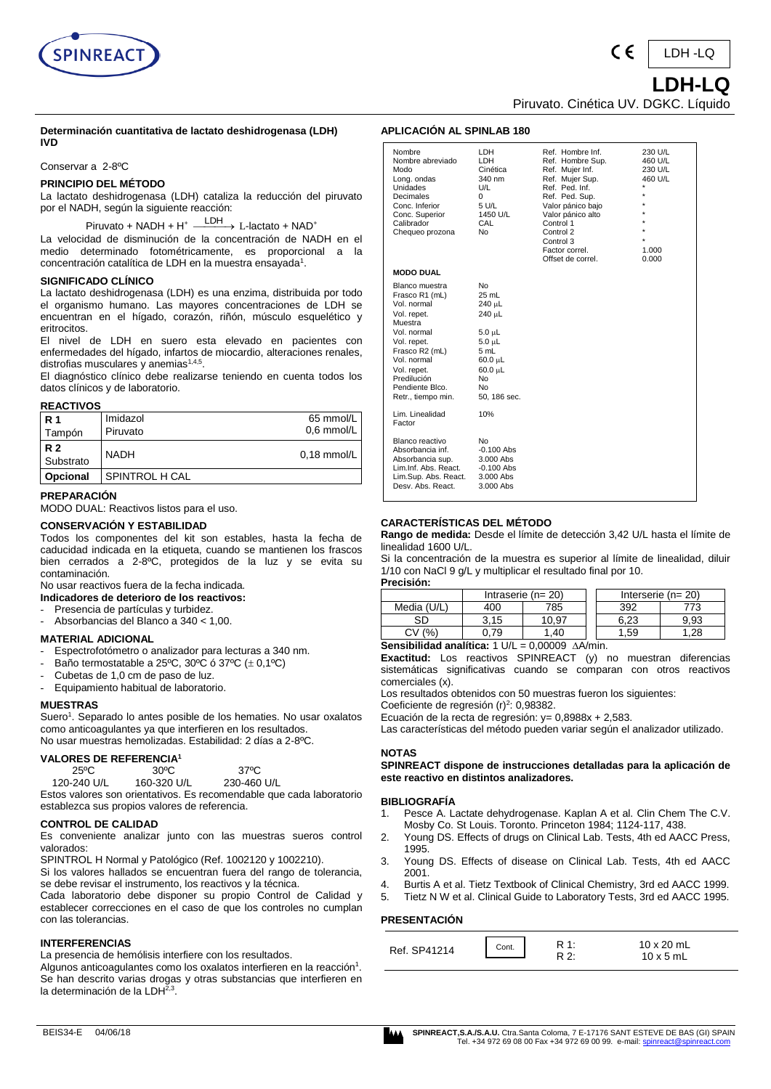

#### **Determinación cuantitativa de lactato deshidrogenasa (LDH) IVD**

Conservar a 2-8ºC

# **PRINCIPIO DEL MÉTODO**

La lactato deshidrogenasa (LDH) cataliza la reducción del piruvato por el NADH, según la siguiente reacción:

 $Piruvato + NADH + H^+ \xrightarrow{LDH} L-lactato + NAD^+$ 

La velocidad de disminución de la concentración de NADH en el medio determinado fotométricamente, es proporcional a la concentración catalítica de LDH en la muestra ensayada $^{\scriptscriptstyle 1}$ .

## **SIGNIFICADO CLÍNICO**

La lactato deshidrogenasa (LDH) es una enzima, distribuida por todo el organismo humano. Las mayores concentraciones de LDH se encuentran en el hígado, corazón, riñón, músculo esquelético y eritrocitos.

El nivel de LDH en suero esta elevado en pacientes con enfermedades del hígado, infartos de miocardio, alteraciones renales, distrofias musculares y anemias<sup>1,4,5</sup>.

El diagnóstico clínico debe realizarse teniendo en cuenta todos los datos clínicos y de laboratorio.

# **REACTIVOS**

| <b>R</b> 1<br>Tampón   | Imidazol<br>Piruvato | 65 mmol/L<br>$0.6$ mmol/L |
|------------------------|----------------------|---------------------------|
| <b>R2</b><br>Substrato | <b>NADH</b>          | $0.18$ mmol/L             |
| Opcional               | SPINTROL H CAL       |                           |

### **PREPARACIÓN**

MODO DUAL: Reactivos listos para el uso.

### **CONSERVACIÓN Y ESTABILIDAD**

Todos los componentes del kit son estables, hasta la fecha de caducidad indicada en la etiqueta, cuando se mantienen los frascos bien cerrados a 2-8ºC, protegidos de la luz y se evita su contaminación.

No usar reactivos fuera de la fecha indicada.

**Indicadores de deterioro de los reactivos:**

- Presencia de partículas y turbidez.
- Absorbancias del Blanco a 340 < 1,00.

### **MATERIAL ADICIONAL**

- Espectrofotómetro o analizador para lecturas a 340 nm.
- Baño termostatable a 25<sup>o</sup>C, 30<sup>o</sup>C ó 37<sup>o</sup>C ( $\pm$  0,1<sup>o</sup>C)
- Cubetas de 1,0 cm de paso de luz.
- Equipamiento habitual de laboratorio.

#### **MUESTRAS**

Suero<sup>1</sup>. Separado lo antes posible de los hematies. No usar oxalatos como anticoagulantes ya que interfieren en los resultados. No usar muestras hemolizadas. Estabilidad: 2 días a 2-8ºC.

# **VALORES DE REFERENCIA<sup>1</sup>**

| 25ºC        | $30^{\circ}$ C | 37°C                                                  |
|-------------|----------------|-------------------------------------------------------|
| 120-240 U/L | 160-320 U/L    | 230-460 U/L                                           |
|             |                | Estes valeres son erientativos. Es recomendable que s |

Estos valores son orientativos. Es recomendable que cada laboratorio establezca sus propios valores de referencia.

## **CONTROL DE CALIDAD**

Es conveniente analizar junto con las muestras sueros control valorados:

SPINTROL H Normal y Patológico (Ref. 1002120 y 1002210). Si los valores hallados se encuentran fuera del rango de tolerancia, se debe revisar el instrumento, los reactivos y la técnica.

Cada laboratorio debe disponer su propio Control de Calidad y establecer correcciones en el caso de que los controles no cumplan con las tolerancias.

## **INTERFERENCIAS**

La presencia de hemólisis interfiere con los resultados.

Algunos anticoagulantes como los oxalatos interfieren en la reacción<sup>1</sup>. Se han descrito varias drogas y otras substancias que interfieren en la determinación de la LDH<sup>2,3</sup>.

| Nombre<br>Nombre abreviado<br>Modo<br>Long. ondas<br><b>Unidades</b><br>Decimales<br>Conc. Inferior<br>Conc. Superior<br>Calibrador<br>Chequeo prozona                                                          | LDH<br>LDH<br>Cinética<br>340 nm<br>U/L<br>0<br>5 U/L<br>1450 U/L<br>CAL<br>No.                                               | Ref. Hombre Inf.<br>Ref. Hombre Sup.<br>Ref. Mujer Inf.<br>Ref. Mujer Sup.<br>Ref. Ped. Inf.<br>Ref. Ped. Sup.<br>Valor pánico bajo<br>Valor pánico alto<br>Control 1<br>Control 2<br>Control 3<br>Factor correl.<br>Offset de correl. | 230 U/L<br>460 U/L<br>230 U/L<br>460 U/L<br>$\star$<br>$\star$<br>$\star$<br>$\star$<br>1.000<br>0.000 |
|-----------------------------------------------------------------------------------------------------------------------------------------------------------------------------------------------------------------|-------------------------------------------------------------------------------------------------------------------------------|----------------------------------------------------------------------------------------------------------------------------------------------------------------------------------------------------------------------------------------|--------------------------------------------------------------------------------------------------------|
| <b>MODO DUAL</b>                                                                                                                                                                                                |                                                                                                                               |                                                                                                                                                                                                                                        |                                                                                                        |
| Blanco muestra<br>Frasco R1 (mL)<br>Vol. normal<br>Vol. repet.<br>Muestra<br>Vol. normal<br>Vol. repet.<br>Frasco R2 (mL)<br>Vol. normal<br>Vol. repet.<br>Predilución<br>Pendiente Blco.<br>Retr., tiempo min. | No<br>25 mL<br>240 µL<br>240 µL<br>5.0 µL<br>$5.0 \mu L$<br>5 mL<br>$60.0 \mu L$<br>$60.0 \mu L$<br>No.<br>No<br>50, 186 sec. |                                                                                                                                                                                                                                        |                                                                                                        |
| Lim. Linealidad<br>Factor                                                                                                                                                                                       | 10%                                                                                                                           |                                                                                                                                                                                                                                        |                                                                                                        |
| Blanco reactivo<br>Absorbancia inf.<br>Absorbancia sup.<br>Lim.Inf. Abs. React.<br>Lim.Sup. Abs. React.<br>Desy, Abs. React.                                                                                    | No<br>$-0.100$ Abs<br>3.000 Abs<br>$-0.100$ Abs<br>3.000 Abs<br>3.000 Abs                                                     |                                                                                                                                                                                                                                        |                                                                                                        |

### **CARACTERÍSTICAS DEL MÉTODO**

**APLICACIÓN AL SPINLAB 180**

**Rango de medida:** Desde el límite de detección 3,42 U/L hasta el límite de linealidad 1600 U/L.

Si la concentración de la muestra es superior al límite de linealidad, diluir 1/10 con NaCl 9 g/L y multiplicar el resultado final por 10.

**Precisión:**

| .           |                         |      |  |                     |      |
|-------------|-------------------------|------|--|---------------------|------|
|             | Intraserie ( $n = 20$ ) |      |  | Interserie $(n=20)$ |      |
| Media (U/L) | 400                     | 785  |  | 392                 | 73   |
| SD          | 3.15                    | 0.97 |  | 6.23                | 9.93 |
| (%          |                         | .40  |  | .59                 | .28  |

**Sensibilidad analítica:**  $1 \text{ U/L} = 0,00009 \text{ A/A/min.}$ 

**Exactitud:** Los reactivos SPINREACT (y) no muestran diferencias sistemáticas significativas cuando se comparan con otros reactivos comerciales (x).

Los resultados obtenidos con 50 muestras fueron los siguientes:

Coeficiente de regresión (r)<sup>2</sup>: 0,98382.

Ecuación de la recta de regresión: y= 0,8988x + 2,583.

Las características del método pueden variar según el analizador utilizado.

#### **NOTAS**

**SPINREACT dispone de instrucciones detalladas para la aplicación de este reactivo en distintos analizadores.** 

#### **BIBLIOGRAFÍA**

- 1. Pesce A. Lactate dehydrogenase. Kaplan A et al. Clin Chem The C.V. Mosby Co. St Louis. Toronto. Princeton 1984; 1124-117, 438.
- 2. Young DS. Effects of drugs on Clinical Lab. Tests, 4th ed AACC Press, 1995.
- 3. Young DS. Effects of disease on Clinical Lab. Tests, 4th ed AACC 2001.
- 4. Burtis A et al. Tietz Textbook of Clinical Chemistry, 3rd ed AACC 1999.
- 5. Tietz N W et al. Clinical Guide to Laboratory Tests, 3rd ed AACC 1995.

#### **PRESENTACIÓN**

| Ref. SP41214 | Cont. | <b>A</b> . | 10 x 20 mL       |
|--------------|-------|------------|------------------|
|              |       |            | $10 \times 5$ mL |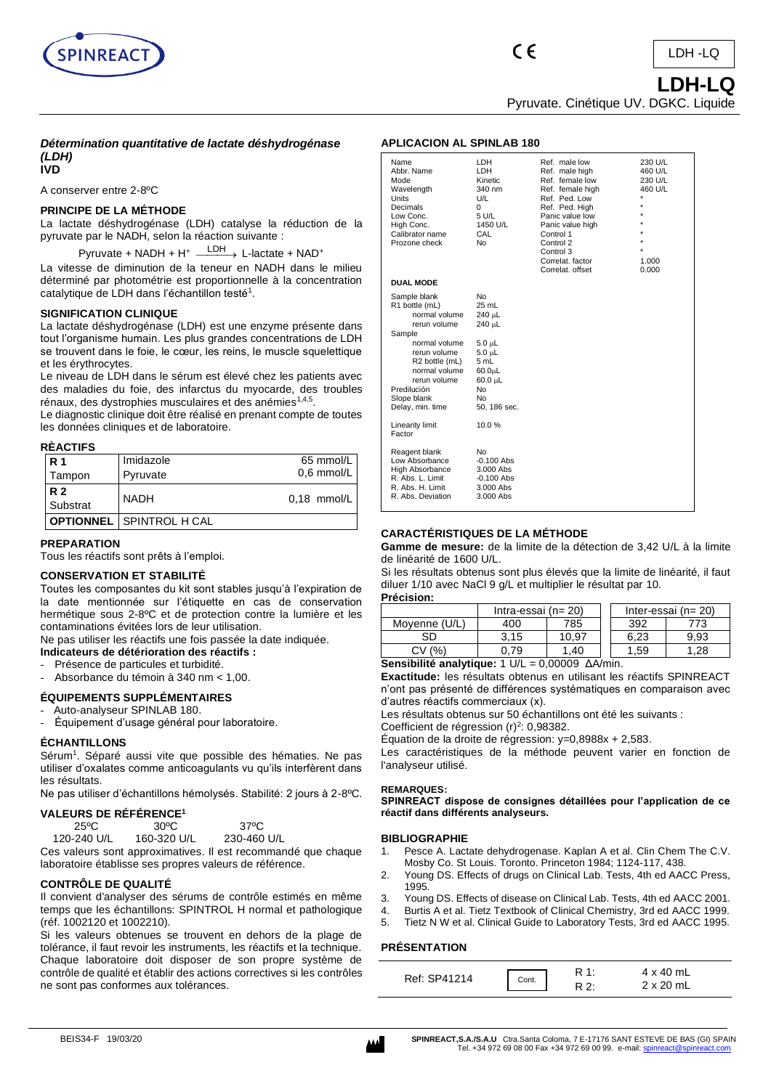

 **LDH-LQ** Pyruvate. Cinétique UV. DGKC. Liquide

### *Détermination quantitative de lactate déshydrogénase (LDH)*  **IVD**

A conserver entre 2-8ºC

# **PRINCIPE DE LA MÉTHODE**

La lactate déshydrogénase (LDH) catalyse la réduction de la pyruvate par le NADH, selon la réaction suivante :

Pyruvate + NADH + H<sup>+</sup> <sup>LDH</sup> > L-lactate + NAD<sup>+</sup>

La vitesse de diminution de la teneur en NADH dans le milieu déterminé par photométrie est proportionnelle à la concentration catalytique de LDH dans l'échantillon testé<sup>1</sup>.

# **SIGNIFICATION CLINIQUE**

La lactate déshydrogénase (LDH) est une enzyme présente dans tout l'organisme humain. Les plus grandes concentrations de LDH se trouvent dans le foie, le cœur, les reins, le muscle squelettique et les érythrocytes.

Le niveau de LDH dans le sérum est élevé chez les patients avec des maladies du foie, des infarctus du myocarde, des troubles rénaux, des dystrophies musculaires et des anémies<sup>1,4,5</sup>.

Le diagnostic clinique doit être réalisé en prenant compte de toutes les données cliniques et de laboratoire.

# **RÈACTIFS**

| <b>R</b> 1 | Imidazole                       | 65 mmol/L     |
|------------|---------------------------------|---------------|
| Tampon     | Pyruvate                        | $0.6$ mmol/L  |
| <b>R2</b>  | <b>NADH</b>                     | $0.18$ mmol/L |
| Substrat   |                                 |               |
|            | <b>OPTIONNEL</b> SPINTROL H CAL |               |

# **PREPARATION**

Tous les réactifs sont prêts à l'emploi.

# **CONSERVATION ET STABILITÉ**

Toutes les composantes du kit sont stables jusqu'à l'expiration de la date mentionnée sur l'étiquette en cas de conservation hermétique sous 2-8ºC et de protection contre la lumière et les contaminations évitées lors de leur utilisation.

Ne pas utiliser les réactifs une fois passée la date indiquée.

- **Indicateurs de détérioration des réactifs :**
- Présence de particules et turbidité.
- Absorbance du témoin à 340 nm < 1,00.

# **ÉQUIPEMENTS SUPPLÉMENTAIRES**

# Auto-analyseur SPINLAB 180.

- Équipement d'usage général pour laboratoire.

## **ÉCHANTILLONS**

Sérum<sup>1</sup>. Séparé aussi vite que possible des hématies. Ne pas utiliser d'oxalates comme anticoagulants vu qu'ils interfèrent dans les résultats.

Ne pas utiliser d'échantillons hémolysés. Stabilité: 2 jours à 2-8ºC.

# **VALEURS DE RÉFÉRENCE<sup>1</sup>**

| $25^{\circ}$ C | $30^{\circ}$ C | $37^{\circ}$ C       |
|----------------|----------------|----------------------|
| 1000010111     | 100000111      | $\sim$ $\sim$ $\sim$ |

 120-240 U/L 160-320 U/L 230-460 U/L Ces valeurs sont approximatives. Il est recommandé que chaque laboratoire établisse ses propres valeurs de référence.

# **CONTRÔLE DE QUALITÉ**

Il convient d'analyser des sérums de contrôle estimés en même temps que les échantillons: SPINTROL H normal et pathologique (réf. 1002120 et 1002210).

Si les valeurs obtenues se trouvent en dehors de la plage de tolérance, il faut revoir les instruments, les réactifs et la technique. Chaque laboratoire doit disposer de son propre système de contrôle de qualité et établir des actions correctives si les contrôles ne sont pas conformes aux tolérances.

# **APLICACION AL SPINLAB 180**

| Name<br>Abbr. Name<br>Mode<br>Wavelength<br>Units<br>Decimals<br>Low Conc.<br>High Conc.<br>Calibrator name<br>Prozone check                                                                                                | LDH.<br>LDH.<br>Kinetic<br>340 nm<br>U/L<br>0<br>5 U/L<br>1450 U/L<br>CAL<br>No                                                | Ref. male low<br>Ref. male high<br>Ref. female low<br>Ref. female high<br>Ref. Ped. Low<br>Ref. Ped. High<br>Panic value low<br>Panic value high<br>Control 1<br>Control 2<br>Control 3<br>Correlat, factor<br>Correlat, offset | 230 U/L<br>460 U/L<br>230 U/L<br>460 U/L<br>÷<br>÷<br>÷<br>÷<br>1.000<br>0.000 |
|-----------------------------------------------------------------------------------------------------------------------------------------------------------------------------------------------------------------------------|--------------------------------------------------------------------------------------------------------------------------------|---------------------------------------------------------------------------------------------------------------------------------------------------------------------------------------------------------------------------------|--------------------------------------------------------------------------------|
| <b>DUAL MODE</b>                                                                                                                                                                                                            |                                                                                                                                |                                                                                                                                                                                                                                 |                                                                                |
| Sample blank<br>R1 bottle (mL)<br>normal volume<br>rerun volume<br>Sample<br>normal volume<br>rerun volume<br>R <sub>2</sub> bottle (mL)<br>normal volume<br>rerun volume<br>Predilución<br>Slope blank<br>Delay, min. time | No<br>$25$ mL<br>240 µL<br>240 µL<br>$5.0 \mu L$<br>$5.0 \mu L$<br>5 mL<br>$60.0\mu$ L<br>60.0 µL<br>No.<br>No<br>50, 186 sec. |                                                                                                                                                                                                                                 |                                                                                |
| Linearity limit<br>Factor                                                                                                                                                                                                   | 10.0%                                                                                                                          |                                                                                                                                                                                                                                 |                                                                                |
| Reagent blank<br>Low Absorbance<br>High Absorbance<br>R. Abs. L. Limit<br>R. Abs. H. Limit<br>R. Abs. Deviation                                                                                                             | No<br>$-0.100$ Abs<br>3.000 Abs<br>$-0.100$ Abs<br>3.000 Abs<br>3.000 Abs                                                      |                                                                                                                                                                                                                                 |                                                                                |

# **CARACTÉRISTIQUES DE LA MÉTHODE**

**Gamme de mesure:** de la limite de la détection de 3,42 U/L à la limite de linéarité de 1600 U/L.

Si les résultats obtenus sont plus élevés que la limite de linéarité, il faut diluer 1/10 avec NaCl 9 g/L et multiplier le résultat par 10.

#### **Précision:**

|                                                                     | Intra-essai $(n=20)$ |       |  | Inter-essai ( $n = 20$ ) |      |
|---------------------------------------------------------------------|----------------------|-------|--|--------------------------|------|
| Moyenne (U/L)                                                       | 400                  | 785   |  | 392                      | 773  |
| SD                                                                  | 3.15                 | 10.97 |  | 6.23                     | 9.93 |
| CV(%)                                                               | 0.79                 | 1.40  |  | 1.59                     | 1.28 |
| Sensibilité analytique: $1 \text{ U/L} = 0,00009 \text{ A/A/min}$ . |                      |       |  |                          |      |

**Exactitude:** les résultats obtenus en utilisant les réactifs SPINREACT n'ont pas présenté de différences systématiques en comparaison avec d'autres réactifs commerciaux (x).

Les résultats obtenus sur 50 échantillons ont été les suivants :

Coefficient de régression  $(r)^2$ : 0,98382.

Équation de la droite de régression: y=0,8988x + 2,583.

Les caractéristiques de la méthode peuvent varier en fonction de l'analyseur utilisé.

#### **REMARQUES:**

**SPINREACT dispose de consignes détaillées pour l'application de ce réactif dans différents analyseurs.**

#### **BIBLIOGRAPHIE**

- 1. Pesce A. Lactate dehydrogenase. Kaplan A et al. Clin Chem The C.V. Mosby Co. St Louis. Toronto. Princeton 1984; 1124-117, 438.
- 2. Young DS. Effects of drugs on Clinical Lab. Tests, 4th ed AACC Press, 1995.
- 3. Young DS. Effects of disease on Clinical Lab. Tests, 4th ed AACC 2001.
- 4. Burtis A et al. Tietz Textbook of Clinical Chemistry, 3rd ed AACC 1999.
- 5. Tietz N W et al. Clinical Guide to Laboratory Tests, 3rd ed AACC 1995.

## **PRÉSENTATION**

| Ref: SP41214 | Cont. | ົດ. | 4 x 40 mL<br>$2 \times 20$ mL |
|--------------|-------|-----|-------------------------------|
|--------------|-------|-----|-------------------------------|